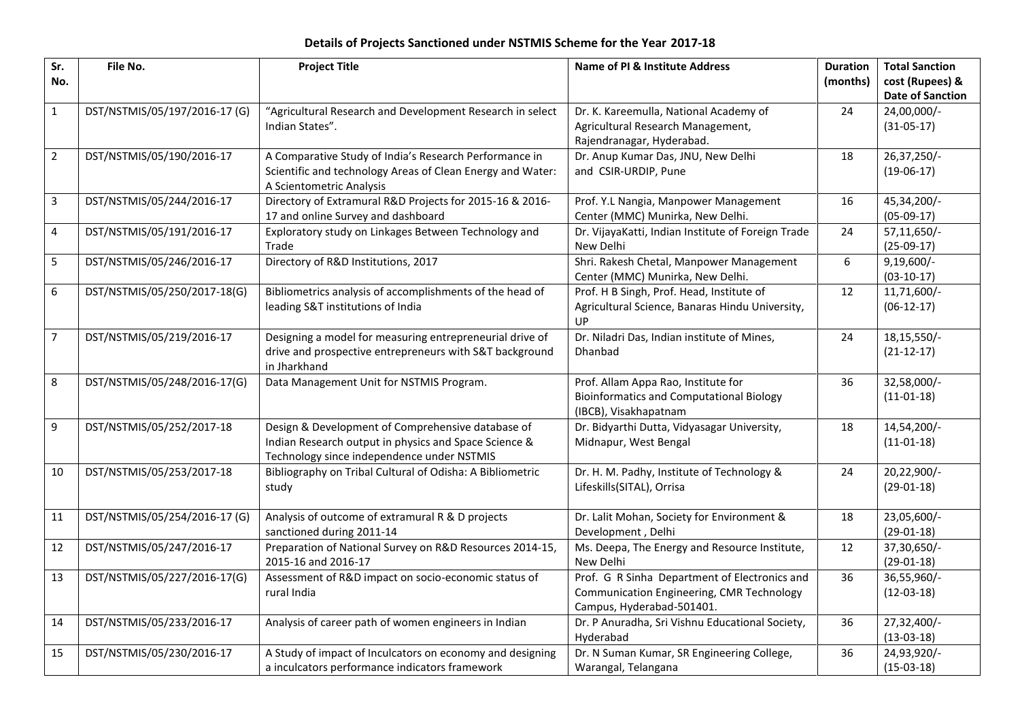## **Details of Projects Sanctioned under NSTMIS Scheme for the Year 2017-18**

| Sr.            | File No.                      | <b>Project Title</b>                                                                   | <b>Name of PI &amp; Institute Address</b>          | <b>Duration</b> | <b>Total Sanction</b>   |
|----------------|-------------------------------|----------------------------------------------------------------------------------------|----------------------------------------------------|-----------------|-------------------------|
| No.            |                               |                                                                                        |                                                    | (months)        | cost (Rupees) &         |
|                |                               |                                                                                        |                                                    |                 | <b>Date of Sanction</b> |
| $\mathbf{1}$   | DST/NSTMIS/05/197/2016-17 (G) | "Agricultural Research and Development Research in select                              | Dr. K. Kareemulla, National Academy of             | 24              | 24,00,000/-             |
|                |                               | Indian States".                                                                        | Agricultural Research Management,                  |                 | $(31-05-17)$            |
|                |                               |                                                                                        | Rajendranagar, Hyderabad.                          |                 |                         |
| $\overline{2}$ | DST/NSTMIS/05/190/2016-17     | A Comparative Study of India's Research Performance in                                 | Dr. Anup Kumar Das, JNU, New Delhi                 | 18              | 26,37,250/-             |
|                |                               | Scientific and technology Areas of Clean Energy and Water:<br>A Scientometric Analysis | and CSIR-URDIP, Pune                               |                 | $(19-06-17)$            |
| $\overline{3}$ | DST/NSTMIS/05/244/2016-17     | Directory of Extramural R&D Projects for 2015-16 & 2016-                               | Prof. Y.L Nangia, Manpower Management              | 16              | 45,34,200/-             |
|                |                               | 17 and online Survey and dashboard                                                     | Center (MMC) Munirka, New Delhi.                   |                 | $(05-09-17)$            |
| $\overline{4}$ | DST/NSTMIS/05/191/2016-17     | Exploratory study on Linkages Between Technology and                                   | Dr. VijayaKatti, Indian Institute of Foreign Trade | 24              | 57,11,650/-             |
|                |                               | Trade                                                                                  | New Delhi                                          |                 | $(25-09-17)$            |
| 5              | DST/NSTMIS/05/246/2016-17     | Directory of R&D Institutions, 2017                                                    | Shri. Rakesh Chetal, Manpower Management           | 6               | $9,19,600/-$            |
|                |                               |                                                                                        | Center (MMC) Munirka, New Delhi.                   |                 | $(03-10-17)$            |
| $\sqrt{6}$     | DST/NSTMIS/05/250/2017-18(G)  | Bibliometrics analysis of accomplishments of the head of                               | Prof. H B Singh, Prof. Head, Institute of          | 12              | 11,71,600/-             |
|                |                               | leading S&T institutions of India                                                      | Agricultural Science, Banaras Hindu University,    |                 | $(06-12-17)$            |
|                |                               |                                                                                        | UP                                                 |                 |                         |
| $\overline{7}$ | DST/NSTMIS/05/219/2016-17     | Designing a model for measuring entrepreneurial drive of                               | Dr. Niladri Das, Indian institute of Mines,        | 24              | 18, 15, 550/-           |
|                |                               | drive and prospective entrepreneurs with S&T background                                | Dhanbad                                            |                 | $(21-12-17)$            |
|                |                               | in Jharkhand                                                                           |                                                    |                 |                         |
| 8              | DST/NSTMIS/05/248/2016-17(G)  | Data Management Unit for NSTMIS Program.                                               | Prof. Allam Appa Rao, Institute for                | 36              | 32,58,000/-             |
|                |                               |                                                                                        | <b>Bioinformatics and Computational Biology</b>    |                 | $(11-01-18)$            |
|                |                               |                                                                                        | (IBCB), Visakhapatnam                              |                 |                         |
| $\overline{9}$ | DST/NSTMIS/05/252/2017-18     | Design & Development of Comprehensive database of                                      | Dr. Bidyarthi Dutta, Vidyasagar University,        | 18              | 14,54,200/-             |
|                |                               | Indian Research output in physics and Space Science &                                  | Midnapur, West Bengal                              |                 | $(11-01-18)$            |
|                |                               | Technology since independence under NSTMIS                                             |                                                    |                 |                         |
| 10             | DST/NSTMIS/05/253/2017-18     | Bibliography on Tribal Cultural of Odisha: A Bibliometric                              | Dr. H. M. Padhy, Institute of Technology &         | 24              | 20,22,900/-             |
|                |                               | study                                                                                  | Lifeskills(SITAL), Orrisa                          |                 | $(29-01-18)$            |
| 11             | DST/NSTMIS/05/254/2016-17 (G) | Analysis of outcome of extramural R & D projects                                       | Dr. Lalit Mohan, Society for Environment &         | 18              | 23,05,600/-             |
|                |                               | sanctioned during 2011-14                                                              | Development, Delhi                                 |                 | $(29-01-18)$            |
| 12             | DST/NSTMIS/05/247/2016-17     | Preparation of National Survey on R&D Resources 2014-15,                               | Ms. Deepa, The Energy and Resource Institute,      | 12              | 37,30,650/-             |
|                |                               | 2015-16 and 2016-17                                                                    | New Delhi                                          |                 | $(29-01-18)$            |
| 13             | DST/NSTMIS/05/227/2016-17(G)  | Assessment of R&D impact on socio-economic status of                                   | Prof. G R Sinha Department of Electronics and      | 36              | 36,55,960/-             |
|                |                               | rural India                                                                            | Communication Engineering, CMR Technology          |                 | $(12-03-18)$            |
|                |                               |                                                                                        | Campus, Hyderabad-501401.                          |                 |                         |
| 14             | DST/NSTMIS/05/233/2016-17     | Analysis of career path of women engineers in Indian                                   | Dr. P Anuradha, Sri Vishnu Educational Society,    | 36              | 27,32,400/-             |
|                |                               |                                                                                        | Hyderabad                                          |                 | $(13-03-18)$            |
| 15             | DST/NSTMIS/05/230/2016-17     | A Study of impact of Inculcators on economy and designing                              | Dr. N Suman Kumar, SR Engineering College,         | 36              | 24,93,920/-             |
|                |                               | a inculcators performance indicators framework                                         | Warangal, Telangana                                |                 | $(15-03-18)$            |